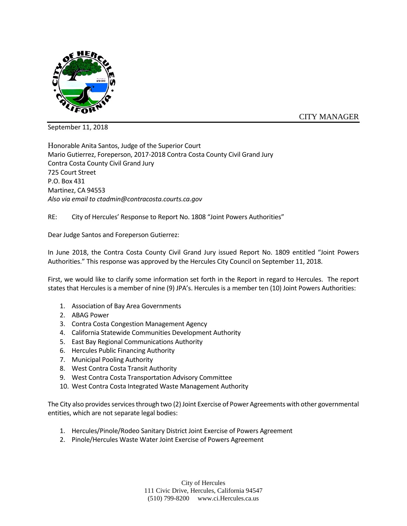

CITY MANAGER

September 11, 2018

Honorable Anita Santos, Judge of the Superior Court Mario Gutierrez, Foreperson, 2017-2018 Contra Costa County Civil Grand Jury Contra Costa County Civil Grand Jury 725 Court Street P.O. Box 431 Martinez, CA 94553 *Also via email to ctadmin@contracosta.courts.ca.gov*

RE: City of Hercules' Response to Report No. 1808 "Joint Powers Authorities"

Dear Judge Santos and Foreperson Gutierrez:

In June 2018, the Contra Costa County Civil Grand Jury issued Report No. 1809 entitled "Joint Powers Authorities." This response was approved by the Hercules City Council on September 11, 2018.

First, we would like to clarify some information set forth in the Report in regard to Hercules. The report states that Hercules is a member of nine (9) JPA's. Hercules is a member ten (10) Joint Powers Authorities:

- 1. Association of Bay Area Governments
- 2. ABAG Power
- 3. Contra Costa Congestion Management Agency
- 4. California Statewide Communities Development Authority
- 5. East Bay Regional Communications Authority
- 6. Hercules Public Financing Authority
- 7. Municipal Pooling Authority
- 8. West Contra Costa Transit Authority
- 9. West Contra Costa Transportation Advisory Committee
- 10. West Contra Costa Integrated Waste Management Authority

The City also provides services through two (2) Joint Exercise of Power Agreements with other governmental entities, which are not separate legal bodies:

- 1. Hercules/Pinole/Rodeo Sanitary District Joint Exercise of Powers Agreement
- 2. Pinole/Hercules Waste Water Joint Exercise of Powers Agreement

City of Hercules 111 Civic Drive, Hercules, California 94547 (510) 799-8200 www.ci.Hercules.ca.us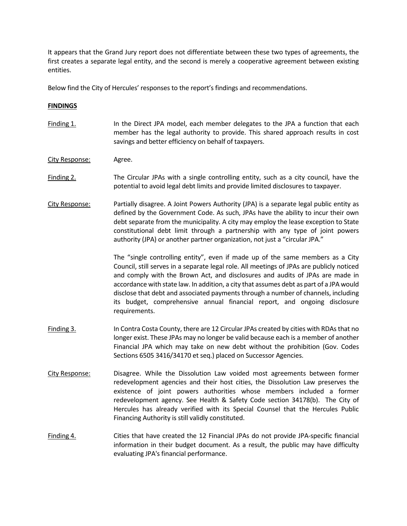It appears that the Grand Jury report does not differentiate between these two types of agreements, the first creates a separate legal entity, and the second is merely a cooperative agreement between existing entities.

Below find the City of Hercules' responses to the report's findings and recommendations.

## **FINDINGS**

- Finding 1. In the Direct JPA model, each member delegates to the JPA a function that each member has the legal authority to provide. This shared approach results in cost savings and better efficiency on behalf of taxpayers.
- City Response: Agree.
- Finding 2. The Circular JPAs with a single controlling entity, such as a city council, have the potential to avoid legal debt limits and provide limited disclosures to taxpayer.
- City Response: Partially disagree. A Joint Powers Authority (JPA) is a separate legal public entity as defined by the Government Code. As such, JPAs have the ability to incur their own debt separate from the municipality. A city may employ the lease exception to State constitutional debt limit through a partnership with any type of joint powers authority (JPA) or another partner organization, not just a "circular JPA."

The "single controlling entity", even if made up of the same members as a City Council, still serves in a separate legal role. All meetings of JPAs are publicly noticed and comply with the Brown Act, and disclosures and audits of JPAs are made in accordance with state law. In addition, a city that assumes debt as part of a JPA would disclose that debt and associated payments through a number of channels, including its budget, comprehensive annual financial report, and ongoing disclosure requirements.

- Finding 3. In Contra Costa County, there are 12 Circular JPAs created by cities with RDAs that no longer exist. These JPAs may no longer be valid because each is a member of another Financial JPA which may take on new debt without the prohibition (Gov. Codes Sections 6505 3416/34170 et seq.) placed on Successor Agencies.
- City Response: Disagree. While the Dissolution Law voided most agreements between former redevelopment agencies and their host cities, the Dissolution Law preserves the existence of joint powers authorities whose members included a former redevelopment agency. See Health & Safety Code section 34178(b). The City of Hercules has already verified with its Special Counsel that the Hercules Public Financing Authority is still validly constituted.
- Finding 4. Cities that have created the 12 Financial JPAs do not provide JPA-specific financial information in their budget document. As a result, the public may have difficulty evaluating JPA's financial performance.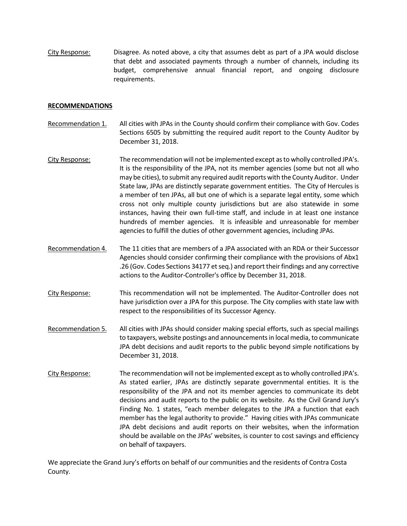City Response: Disagree. As noted above, a city that assumes debt as part of a JPA would disclose that debt and associated payments through a number of channels, including its budget, comprehensive annual financial report, and ongoing disclosure requirements.

## **RECOMMENDATIONS**

- Recommendation 1. All cities with JPAs in the County should confirm their compliance with Gov. Codes Sections 6505 by submitting the required audit report to the County Auditor by December 31, 2018.
- City Response: The recommendation will not be implemented except as to wholly controlled JPA's. It is the responsibility of the JPA, not its member agencies (some but not all who may be cities), to submit any required audit reports with the County Auditor. Under State law, JPAs are distinctly separate government entities. The City of Hercules is a member of ten JPAs, all but one of which is a separate legal entity, some which cross not only multiple county jurisdictions but are also statewide in some instances, having their own full-time staff, and include in at least one instance hundreds of member agencies. It is infeasible and unreasonable for member agencies to fulfill the duties of other government agencies, including JPAs.
- Recommendation 4. The 11 cities that are members of a JPA associated with an RDA or their Successor Agencies should consider confirming their compliance with the provisions of Abx1 .26 (Gov. Codes Sections 34177 et seq.) and report their findings and any corrective actions to the Auditor-Controller's office by December 31, 2018.
- City Response: This recommendation will not be implemented. The Auditor-Controller does not have jurisdiction over a JPA for this purpose. The City complies with state law with respect to the responsibilities of its Successor Agency.
- Recommendation 5. All cities with JPAs should consider making special efforts, such as special mailings to taxpayers, website postings and announcements in local media, to communicate JPA debt decisions and audit reports to the public beyond simple notifications by December 31, 2018.
- City Response: The recommendation will not be implemented except as to wholly controlled JPA's. As stated earlier, JPAs are distinctly separate governmental entities. It is the responsibility of the JPA and not its member agencies to communicate its debt decisions and audit reports to the public on its website. As the Civil Grand Jury's Finding No. 1 states, "each member delegates to the JPA a function that each member has the legal authority to provide." Having cities with JPAs communicate JPA debt decisions and audit reports on their websites, when the information should be available on the JPAs' websites, is counter to cost savings and efficiency on behalf of taxpayers.

We appreciate the Grand Jury's efforts on behalf of our communities and the residents of Contra Costa County.